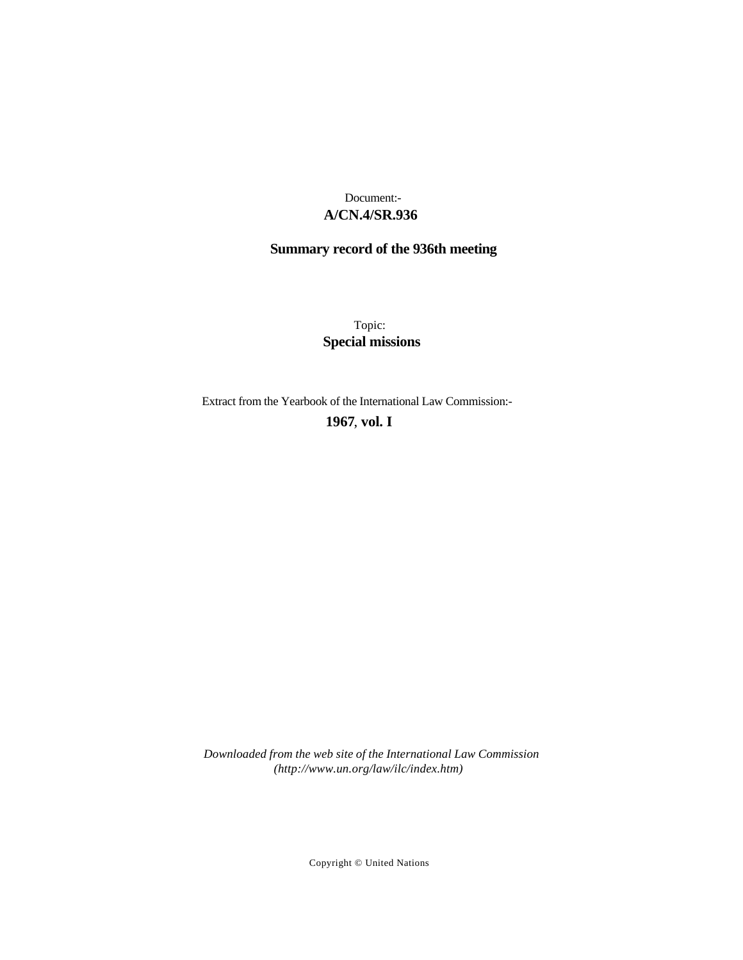# **A/CN.4/SR.936** Document:-

# **Summary record of the 936th meeting**

Topic: **Special missions**

Extract from the Yearbook of the International Law Commission:-

**1967** , **vol. I**

*Downloaded from the web site of the International Law Commission (http://www.un.org/law/ilc/index.htm)*

Copyright © United Nations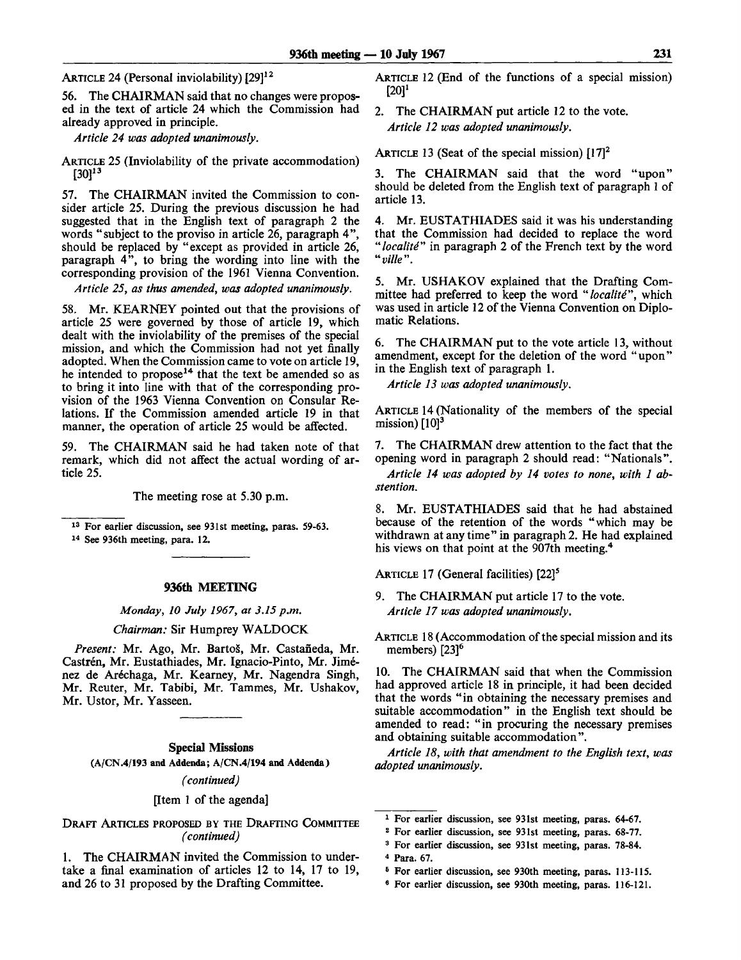ARTICLE 24 (Personal inviolability) [29]<sup>12</sup>

56. The CHAIRMAN said that no changes were proposed in the text of article 24 which the Commission had already approved in principle.

*Article 24 was adopted unanimously.*

ARTICLE 25 (Inviolability of the private accommodation) [30]<sup>13</sup>

57. The CHAIRMAN invited the Commission to consider article 25. During the previous discussion he had suggested that in the English text of paragraph 2 the words "subject to the proviso in article 26, paragraph 4", should be replaced by "except as provided in article 26, paragraph 4", to bring the wording into line with the corresponding provision of the 1961 Vienna Convention.

*Article 25, as thus amended, was adopted unanimously.*

58. Mr. KEARNEY pointed out that the provisions of article 25 were governed by those of article 19, which dealt with the inviolability of the premises of the special mission, and which the Commission had not yet finally adopted. When the Commission came to vote on article 19, he intended to propose<sup>14</sup> that the text be amended so as to bring it into line with that of the corresponding provision of the 1963 Vienna Convention on Consular Relations. If the Commission amended article 19 in that manner, the operation of article 25 would be affected.

59. The CHAIRMAN said he had taken note of that remark, which did not affect the actual wording of article 25.

The meeting rose at 5.30 p.m.

13 For earlier discussion, see 931st meeting, paras. 59-63.

14 See 936th meeting, para. 12.

#### **936th MEETING**

*Monday, 10 July 1967, at 3.15 p.m.*

#### *Chairman:* Sir Humprey WALDOCK

Present: Mr. Ago, Mr. Bartoš, Mr. Castañeda, Mr. Castrén, Mr. Eustathiades, Mr. Ignacio-Pinto, Mr. Jiménez de Aréchaga, Mr. Kearney, Mr. Nagendra Singh, Mr. Reuter, Mr. Tabibi, Mr. Tammes, Mr. Ushakov, Mr. Ustor, Mr. Yasseen.

#### **Special Missions**

(A/CN.4/193 and Addenda; A/CN.4/194 and Addenda)

*(continued)*

#### [Item 1 of the agenda]

DRAFT ARTICLES PROPOSED BY THE DRAFTING COMMITTEE *(continued)*

1. The CHAIRMAN invited the Commission to undertake a final examination of articles 12 to 14, 17 to 19, and 26 to 31 proposed by the Drafting Committee.

ARTICLE 12 (End of the functions of a special mission)  $[20]$ <sup>1</sup>

2. The CHAIRMAN put article 12 to the vote. *Article 12 was adopted unanimously.*

ARTICLE 13 (Seat of the special mission)  $[17]<sup>2</sup>$ 

3. The CHAIRMAN said that the word "upon" should be deleted from the English text of paragraph 1 of article 13.

4. Mr. EUSTATHIADES said it was his understanding that the Commission had decided to replace the word *"localite"* in paragraph 2 of the French text by the word *"ville".*

5. Mr. USHAKOV explained that the Drafting Committee had preferred to keep the word *"localite",* which was used in article 12 of the Vienna Convention on Diplomatic Relations.

6. The CHAIRMAN put to the vote article 13, without amendment, except for the deletion of the word " upon" in the English text of paragraph 1.

*Article 13 was adopted unanimously.*

ARTICLE 14 (Nationality of the members of the special mission)  $[10]$ <sup>3</sup>

7. The CHAIRMAN drew attention to the fact that the opening word in paragraph 2 should read: "Nationals".

*Article 14 was adopted by 14 votes to none, with 1 abstention.*

8. Mr. EUSTATHIADES said that he had abstained because of the retention of the words "which may be withdrawn at anytime" in paragraph 2. He had explained his views on that point at the 907th meeting.<sup>4</sup>

ARTICLE 17 (General facilities) [22]<sup>5</sup>

9. The CHAIRMAN put article 17 to the vote. *Article 17 was adopted unanimously.*

ARTICLE 18 (Accommodation of the special mission and its members)  $[23]^{6}$ 

10. The CHAIRMAN said that when the Commission had approved article 18 in principle, it had been decided that the words "in obtaining the necessary premises and suitable accommodation" in the English text should be amended to read: "in procuring the necessary premises and obtaining suitable accommodation".

*Article 18, with that amendment to the English text, was adopted unanimously.*

3 For earlier discussion, see 931st meeting, paras. 78-84.

6 For earlier discussion, see 930th meeting, paras. 113-115.

<sup>1</sup> For earlier discussion, see 931st meeting, paras. 64-67.

<sup>2</sup> For earlier discussion, see 931st meeting, paras. 68-77.

<sup>4</sup> Para. 67.

<sup>6</sup> For earlier discussion, see 930th meeting, paras. 116-121.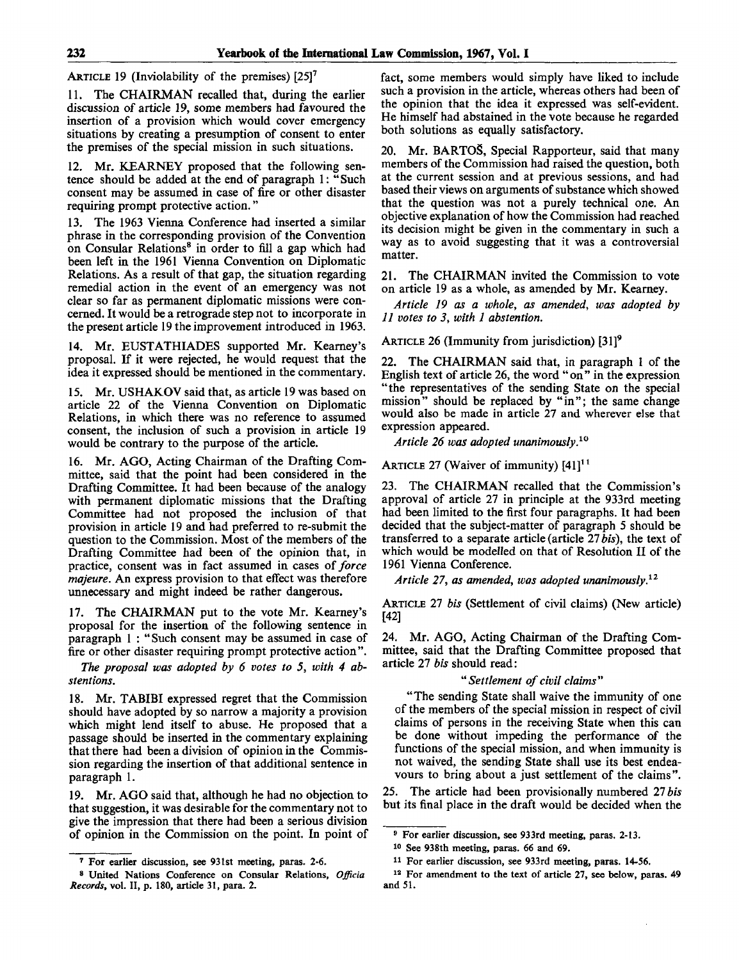ARTICLE 19 (Inviolability of the premises)  $[25]$ <sup>7</sup>

11. The CHAIRMAN recalled that, during the earlier discussion of article 19, some members had favoured the insertion of a provision which would cover emergency situations by creating a presumption of consent to enter the premises of the special mission in such situations.

12. Mr. KEARNEY proposed that the following sentence should be added at the end of paragraph 1: " Such consent may be assumed in case of fire or other disaster requiring prompt protective action."

13. The 1963 Vienna Conference had inserted a similar phrase in the corresponding provision of the Convention on Consular Relations<sup>8</sup> in order to fill a gap which had been left in the 1961 Vienna Convention on Diplomatic Relations. As a result of that gap, the situation regarding remedial action in the event of an emergency was not clear so far as permanent diplomatic missions were concerned. It would be a retrograde step not to incorporate in the present article 19 the improvement introduced in 1963.

14. Mr. EUSTATHIADES supported Mr. Kearney's proposal. If it were rejected, he would request that the idea it expressed should be mentioned in the commentary.

15. Mr. USHAKOV said that, as article 19 was based on article 22 of the Vienna Convention on Diplomatic Relations, in which there was no reference to assumed consent, the inclusion of such a provision in article 19 would be contrary to the purpose of the article.

16. Mr. AGO, Acting Chairman of the Drafting Committee, said that the point had been considered in the Drafting Committee. It had been because of the analogy with permanent diplomatic missions that the Drafting Committee had not proposed the inclusion of that provision in article 19 and had preferred to re-submit the question to the Commission. Most of the members of the Drafting Committee had been of the opinion that, in practice, consent was in fact assumed in cases *of force majeure.* An express provision to that effect was therefore unnecessary and might indeed be rather dangerous.

17. The CHAIRMAN put to the vote Mr. Kearney's proposal for the insertion of the following sentence in paragraph 1 : "Such consent may be assumed in case of fire or other disaster requiring prompt protective action".

*The proposal was adopted by 6 votes to 5, with 4 abstentions.*

18. Mr. TABIBI expressed regret that the Commission should have adopted by so narrow a majority a provision which might lend itself to abuse. He proposed that a passage should be inserted in the commentary explaining that there had been a division of opinion in the Commission regarding the insertion of that additional sentence in paragraph 1.

19. Mr. AGO said that, although he had no objection to that suggestion, it was desirable for the commentary not to give the impression that there had been a serious division of opinion in the Commission on the point. In point of fact, some members would simply have liked to include such a provision in the article, whereas others had been of the opinion that the idea it expressed was self-evident. He himself had abstained in the vote because he regarded both solutions as equally satisfactory.

20. Mr. BARTOS, Special Rapporteur, said that many members of the Commission had raised the question, both at the current session and at previous sessions, and had based their views on arguments of substance which showed that the question was not a purely technical one. An objective explanation of how the Commission had reached its decision might be given in the commentary in such a way as to avoid suggesting that it was a controversial matter.

21. The CHAIRMAN invited the Commission to vote on article 19 as a whole, as amended by Mr. Kearney.

*Article 19 as a whole, as amended, was adopted by 11 votes to 3, with 1 abstention.*

ARTICLE 26 (Immunity from jurisdiction) [31]<sup>9</sup>

22. The CHAIRMAN said that, in paragraph 1 of the English text of article 26, the word "on" in the expression "the representatives of the sending State on the special mission" should be replaced by "in"; the same change would also be made in article 27 and wherever else that expression appeared.

*Article 26 was adopted unanimously}<sup>0</sup>*

ARTICLE 27 (Waiver of immunity)  $[41]^{11}$ 

23. The CHAIRMAN recalled that the Commission's approval of article 27 in principle at the 933rd meeting had been limited to the first four paragraphs. It had been decided that the subject-matter of paragraph 5 should be transferred to a separate article (article 27 *bis),* the text of which would be modelled on that of Resolution II of the 1961 Vienna Conference.

*Article 27, as amended, was adopted unanimously}<sup>2</sup>*

ARTICLE 27 *bis* (Settlement of civil claims) (New article) [42]

24. Mr. AGO, Acting Chairman of the Drafting Committee, said that the Drafting Committee proposed that article 27 *bis* should read:

#### *"Settlement of civil claims"*

"The sending State shall waive the immunity of one of the members of the special mission in respect of civil claims of persons in the receiving State when this can be done without impeding the performance of the functions of the special mission, and when immunity is not waived, the sending State shall use its best endeavours to bring about a just settlement of the claims".

25. The article had been provisionally numbered *27 bis* but its final place in the draft would be decided when the

<sup>7</sup> For earlier discussion, see 931st meeting, paras. 2-6.

<sup>8</sup> United Nations Conference on Consular Relations, *Officia Records,* vol. II, p. 180, article 31, para. 2.

<sup>9</sup> For earlier discussion, see 933rd meeting, paras. 2-13.

<sup>10</sup> See 938th meeting, paras. 66 and 69.

<sup>11</sup> For earlier discussion, see 933rd meeting, paras. 14-56.

<sup>&</sup>lt;sup>12</sup> For amendment to the text of article 27, see below, paras. 49 and 51.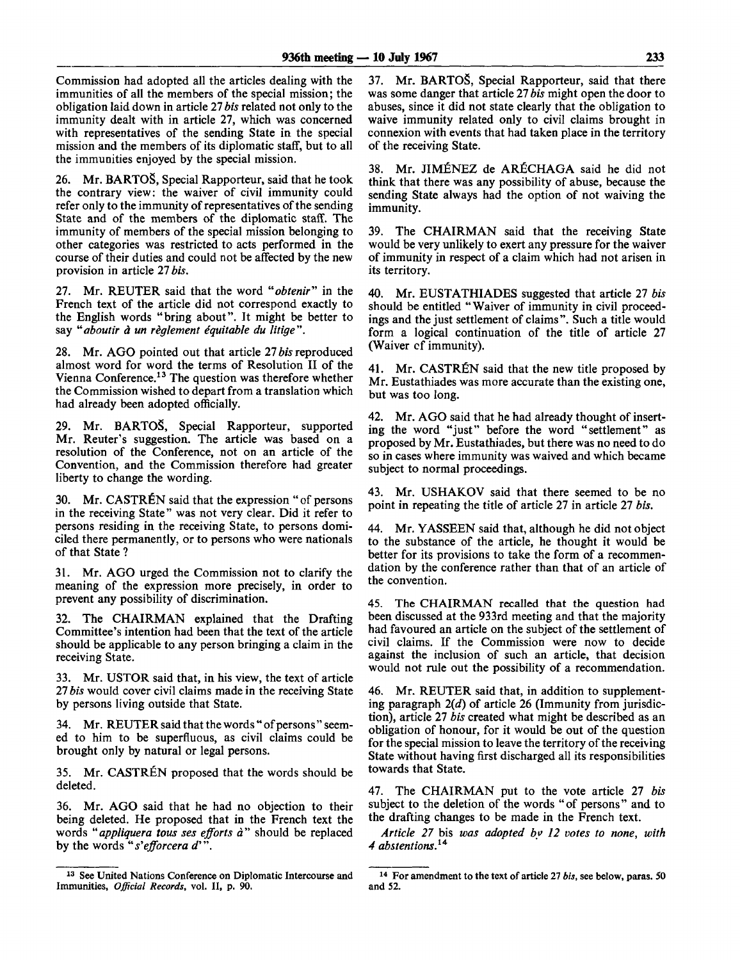Commission had adopted all the articles dealing with the immunities of all the members of the special mission; the obligation laid down in article 27 *bis* related not only to the immunity dealt with in article 27, which was concerned with representatives of the sending State in the special mission and the members of its diplomatic staff, but to all the immunities enjoyed by the special mission.

26. Mr. BARTOS, Special Rapporteur, said that he took the contrary view: the waiver of civil immunity could refer only to the immunity of representatives of the sending State and of the members of the diplomatic staff. The immunity of members of the special mission belonging to other categories was restricted to acts performed in the course of their duties and could not be affected by the new provision in article 27 *bis.*

27. Mr. REUTER said that the word *"obtenir"* in the French text of the article did not correspond exactly to the English words "bring about". It might be better to say "aboutir à un règlement équitable du litige".

28. Mr. AGO pointed out that article 27 *bis* reproduced almost word for word the terms of Resolution II of the Vienna Conference.<sup>13</sup> The question was therefore whether the Commission wished to depart from a translation which had already been adopted officially.

29. Mr. BARTOS, Special Rapporteur, supported Mr. Reuter's suggestion. The article was based on a resolution of the Conference, not on an article of the Convention, and the Commission therefore had greater liberty to change the wording.

30. Mr. CASTRÉN said that the expression " of persons in the receiving State" was not very clear. Did it refer to persons residing in the receiving State, to persons domiciled there permanently, or to persons who were nationals of that State ?

31. Mr. AGO urged the Commission not to clarify the meaning of the expression more precisely, in order to prevent any possibility of discrimination.

32. The CHAIRMAN explained that the Drafting Committee's intention had been that the text of the article should be applicable to any person bringing a claim in the receiving State.

33. Mr. USTOR said that, in his view, the text of article *27 bis* would cover civil claims made in the receiving State by persons living outside that State.

34. Mr. REUTER said that the words " of persons " seemed to him to be superfluous, as civil claims could be brought only by natural or legal persons.

35. Mr. CASTREN proposed that the words should be deleted.

36. Mr. AGO said that he had no objection to their being deleted. He proposed that in the French text the words *"appliquera tous ses efforts* a" should be replaced by the words "s'efforcera d'".

37. Mr. BARTOS, Special Rapporteur, said that there was some danger that article 27 *bis* might open the door to abuses, since it did not state clearly that the obligation to waive immunity related only to civil claims brought in connexion with events that had taken place in the territory of the receiving State.

38. Mr. JIMENEZ de ARfiCHAGA said he did not think that there was any possibility of abuse, because the sending State always had the option of not waiving the immunity.

39. The CHAIRMAN said that the receiving State would be very unlikely to exert any pressure for the waiver of immunity in respect of a claim which had not arisen in its territory.

40. Mr. EUSTATHIADES suggested that article 27 *bis* should be entitled "Waiver of immunity in civil proceedings and the just settlement of claims". Such a title would form a logical continuation of the title of article 27 (Waiver cf immunity).

41. Mr. CASTRÉN said that the new title proposed by Mr. Eustathiades was more accurate than the existing one, but was too long.

42. Mr. AGO said that he had already thought of inserting the word "just" before the word "settlement" as proposed by Mr. Eustathiades, but there was no need to do so in cases where immunity was waived and which became subject to normal proceedings.

43. Mr. USHAKOV said that there seemed to be no point in repeating the title of article 27 in article 27 *bis.*

44. Mr. YASSEEN said that, although he did not object to the substance of the article, he thought it would be better for its provisions to take the form of a recommendation by the conference rather than that of an article of the convention.

45. The CHAIRMAN recalled that the question had been discussed at the 933rd meeting and that the majority had favoured an article on the subject of the settlement of civil claims. If the Commission were now to decide against the inclusion of such an article, that decision would not rule out the possibility of a recommendation.

46. Mr. REUTER said that, in addition to supplementing paragraph *2(d)* of article 26 (Immunity from jurisdiction), article 27 *bis* created what might be described as an obligation of honour, for it would be out of the question for the special mission to leave the territory of the receiving State without having first discharged all its responsibilities towards that State.

47. The CHAIRMAN put to the vote article 27 *bis* subject to the deletion of the words "of persons" and to the drafting changes to be made in the French text.

*Article 27* bis *was adopted by 12 votes to none, with 4 abstentions.<sup>1</sup> \**

<sup>&</sup>lt;sup>13</sup> See United Nations Conference on Diplomatic Intercourse and Immunities, *Official Records,* vol. II, p. 90.

<sup>14</sup> For amendment to the text of article 27 *bis,* see below, paras. 50 and 52.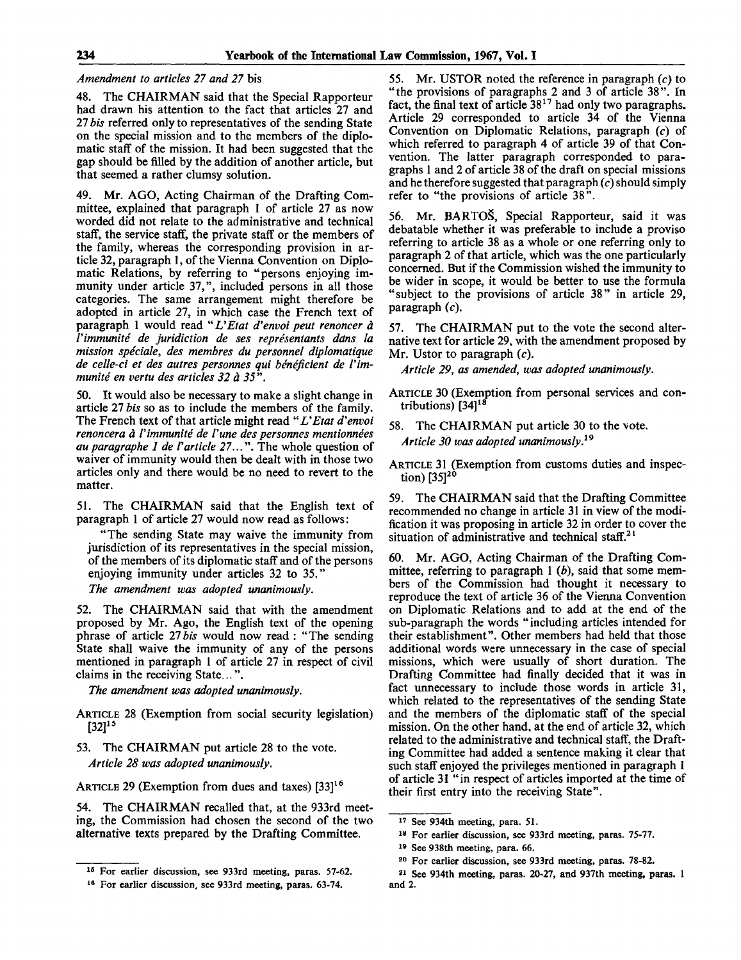## *Amendment to articles 27 and 27* bis

48. The CHAIRMAN said that the Special Rapporteur had drawn his attention to the fact that articles 27 and 27 *bis* referred only to representatives of the sending State on the special mission and to the members of the diplomatic staff of the mission. It had been suggested that the gap should be filled by the addition of another article, but that seemed a rather clumsy solution.

49. Mr. AGO, Acting Chairman of the Drafting Committee, explained that paragraph 1 of article 27 as now worded did not relate to the administrative and technical staff, the service staff, the private staff or the members of the family, whereas the corresponding provision in article 32, paragraph 1, of the Vienna Convention on Diplomatic Relations, by referring to "persons enjoying immunity under article 37,", included persons in all those categories. The same arrangement might therefore be adopted in article 27, in which case the French text of paragraph 1 would read "*L'Etat d'envoi peut renoncer à Vimmunite de juridiction de ses representants dans la mission speciale, des membres du personnel diplomatique* de celle-ci et des autres personnes qui bénéficient de l'im*munite en vertu des articles 32 a 35".*

50. It would also be necessary to make a slight change in article 27 *bis* so as to include the members of the family. The French text of that article might read "L'Etat d'envoi *renoncera a Vimmunite de Vune des personnes mentionnees auparagraphe 1 de Varticle 27...".* The whole question of waiver of immunity would then be dealt with in those two articles only and there would be no need to revert to the matter.

51. The CHAIRMAN said that the English text of paragraph 1 of article 27 would now read as follows:

"The sending State may waive the immunity from jurisdiction of its representatives in the special mission, of the members of its diplomatic staff and of the persons enjoying immunity under articles 32 to 35."

*The amendment was adopted unanimously.*

52. The CHAIRMAN said that with the amendment proposed by Mr. Ago, the English text of the opening phrase of article 27*bis* would now read : "The sending State shall waive the immunity of any of the persons mentioned in paragraph 1 of article 27 in respect of civil claims in the receiving State...".

*The amendment was adopted unanimously.*

- ARTICLE 28 (Exemption from social security legislation)  $[32]^{15}$
- 53. The CHAIRMAN put article 28 to the vote. *Article 28 was adopted unanimously.*

ARTICLE 29 (Exemption from dues and taxes) [33]<sup>16</sup>

54. The CHAIRMAN recalled that, at the 933rd meeting, the Commission had chosen the second of the two alternative texts prepared by the Drafting Committee.

55. Mr. USTOR noted the reference in paragraph *(c)* to "the provisions of paragraphs 2 and 3 of article 38". In fact, the final text of article  $38<sup>17</sup>$  had only two paragraphs. Article 29 corresponded to article 34 of the Vienna Convention on Diplomatic Relations, paragraph (c) of which referred to paragraph 4 of article 39 of that Convention. The latter paragraph corresponded to paragraphs 1 and 2 of article 38 of the draft on special missions and he therefore suggested that paragraph *(c)* should simply refer to "the provisions of article 38".

56. Mr. BARTOS, Special Rapporteur, said it was debatable whether it was preferable to include a proviso referring to article 38 as a whole or one referring only to paragraph 2 of that article, which was the one particularly concerned. But if the Commission wished the immunity to be wider in scope, it would be better to use the formula "subject to the provisions of article 38" in article 29, paragraph *(c).*

57. The CHAIRMAN put to the vote the second alternative text for article 29, with the amendment proposed by Mr. Ustor to paragraph *(c).*

*Article 29, as amended, was adopted unanimously.*

ARTICLE 30 (Exemption from personal services and contributions) [34]<sup>18</sup>

58. The CHAIRMAN put article 30 to the vote. *Article 30 was adopted unanimously.<sup>19</sup>*

ARTICLE 31 (Exemption from customs duties and inspection)  $[35]^{20}$ 

59. The CHAIRMAN said that the Drafting Committee recommended no change in article 31 in view of the modification it was proposing in article 32 in order to cover the situation of administrative and technical staff.<sup>21</sup>

60. Mr. AGO, Acting Chairman of the Drafting Committee, referring to paragraph 1 *(b),* said that some members of the Commission had thought it necessary to reproduce the text of article 36 of the Vienna Convention on Diplomatic Relations and to add at the end of the sub-paragraph the words "including articles intended for their establishment". Other members had held that those additional words were unnecessary in the case of special missions, which were usually of short duration. The Drafting Committee had finally decided that it was in fact unnecessary to include those words in article 31, which related to the representatives of the sending State and the members of the diplomatic staff of the special mission. On the other hand, at the end of article 32, which related to the administrative and technical staff, the Drafting Committee had added a sentence making it clear that such staff enjoyed the privileges mentioned in paragraph 1 of article 31 "in respect of articles imported at the time of their first entry into the receiving State".

<sup>15</sup> For earlier discussion, see 933rd meeting, paras. 57-62.

<sup>16</sup> For earlier discussion, see 933rd meeting, paras. 63-74.

<sup>17</sup> See 934th meeting, para. 51.

<sup>18</sup> For earlier discussion, see 933rd meeting, paras. 75-77.

<sup>19</sup> See 938th meeting, para. 66.

<sup>20</sup> For earlier discussion, see 933rd meeting, paras. 78-82.

<sup>21</sup> See 934th meeting, paras. 20-27, and 937th meeting, paras. 1 and 2.